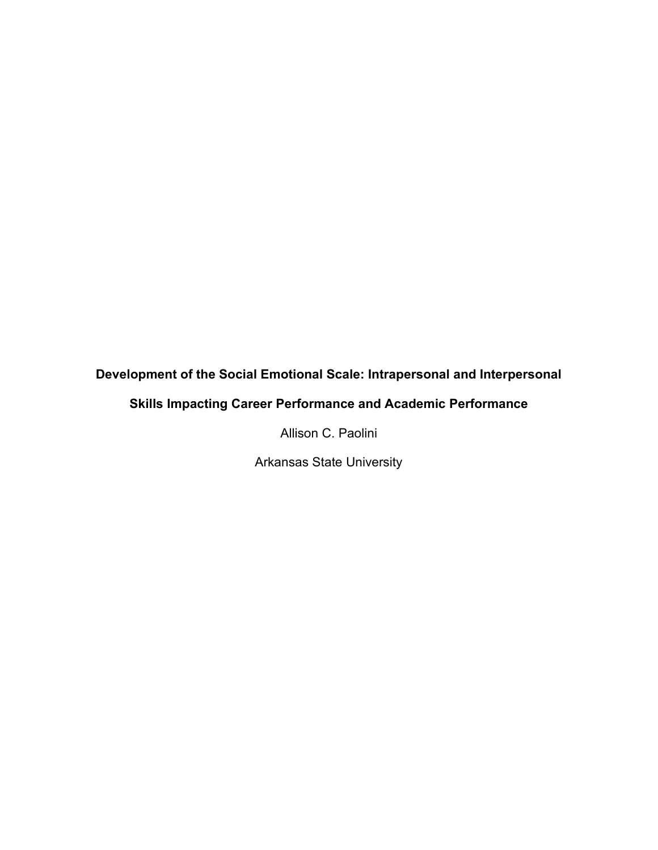# **Development of the Social Emotional Scale: Intrapersonal and Interpersonal**

# **Skills Impacting Career Performance and Academic Performance**

Allison C. Paolini

Arkansas State University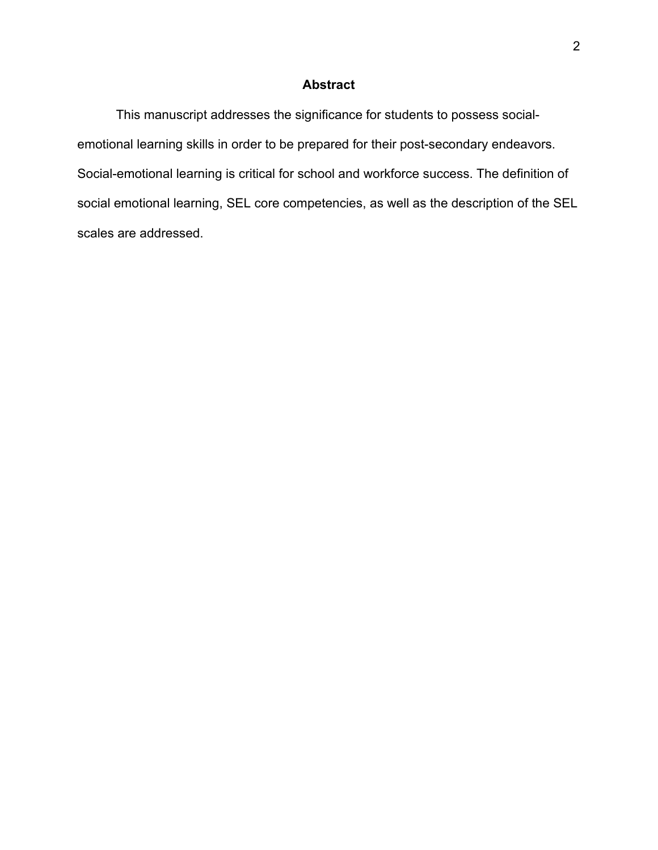#### **Abstract**

This manuscript addresses the significance for students to possess socialemotional learning skills in order to be prepared for their post-secondary endeavors. Social-emotional learning is critical for school and workforce success. The definition of social emotional learning, SEL core competencies, as well as the description of the SEL scales are addressed.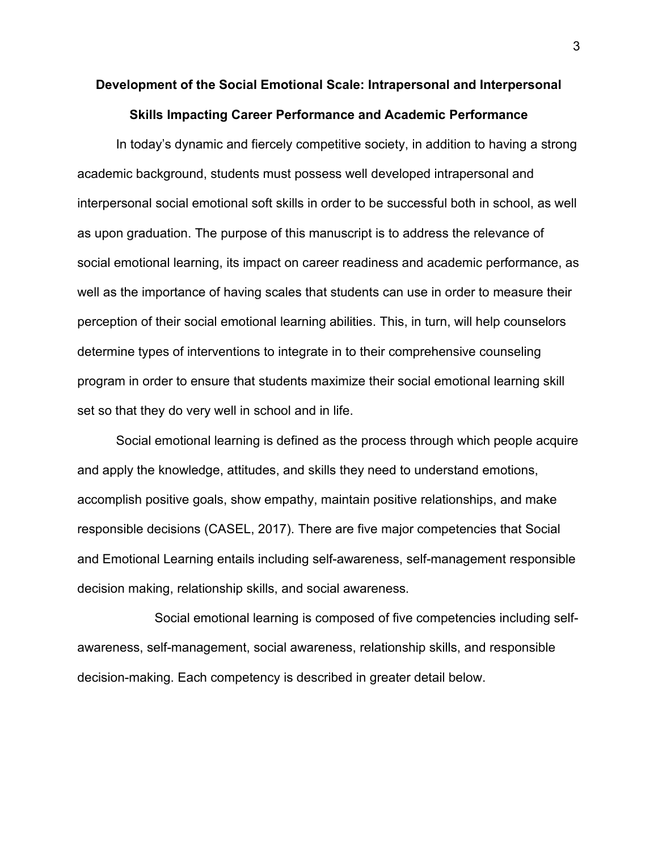# **Development of the Social Emotional Scale: Intrapersonal and Interpersonal Skills Impacting Career Performance and Academic Performance**

In today's dynamic and fiercely competitive society, in addition to having a strong academic background, students must possess well developed intrapersonal and interpersonal social emotional soft skills in order to be successful both in school, as well as upon graduation. The purpose of this manuscript is to address the relevance of social emotional learning, its impact on career readiness and academic performance, as well as the importance of having scales that students can use in order to measure their perception of their social emotional learning abilities. This, in turn, will help counselors determine types of interventions to integrate in to their comprehensive counseling program in order to ensure that students maximize their social emotional learning skill set so that they do very well in school and in life.

Social emotional learning is defined as the process through which people acquire and apply the knowledge, attitudes, and skills they need to understand emotions, accomplish positive goals, show empathy, maintain positive relationships, and make responsible decisions (CASEL, 2017). There are five major competencies that Social and Emotional Learning entails including self-awareness, self-management responsible decision making, relationship skills, and social awareness.

Social emotional learning is composed of five competencies including selfawareness, self-management, social awareness, relationship skills, and responsible decision-making. Each competency is described in greater detail below.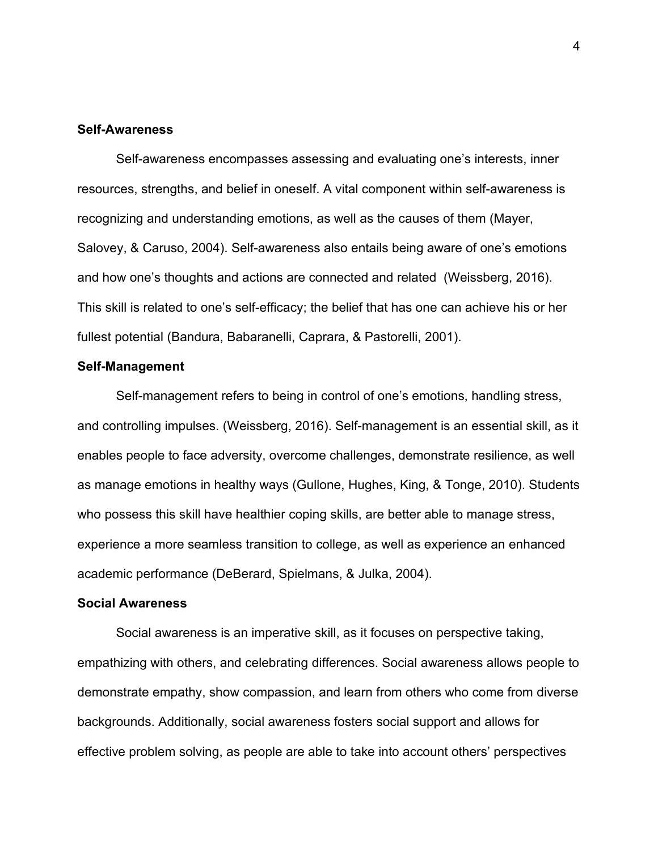#### **Self-Awareness**

Self-awareness encompasses assessing and evaluating one's interests, inner resources, strengths, and belief in oneself. A vital component within self-awareness is recognizing and understanding emotions, as well as the causes of them (Mayer, Salovey, & Caruso, 2004). Self-awareness also entails being aware of one's emotions and how one's thoughts and actions are connected and related (Weissberg, 2016). This skill is related to one's self-efficacy; the belief that has one can achieve his or her fullest potential (Bandura, Babaranelli, Caprara, & Pastorelli, 2001).

#### **Self-Management**

Self-management refers to being in control of one's emotions, handling stress, and controlling impulses. (Weissberg, 2016). Self-management is an essential skill, as it enables people to face adversity, overcome challenges, demonstrate resilience, as well as manage emotions in healthy ways (Gullone, Hughes, King, & Tonge, 2010). Students who possess this skill have healthier coping skills, are better able to manage stress, experience a more seamless transition to college, as well as experience an enhanced academic performance (DeBerard, Spielmans, & Julka, 2004).

#### **Social Awareness**

Social awareness is an imperative skill, as it focuses on perspective taking, empathizing with others, and celebrating differences. Social awareness allows people to demonstrate empathy, show compassion, and learn from others who come from diverse backgrounds. Additionally, social awareness fosters social support and allows for effective problem solving, as people are able to take into account others' perspectives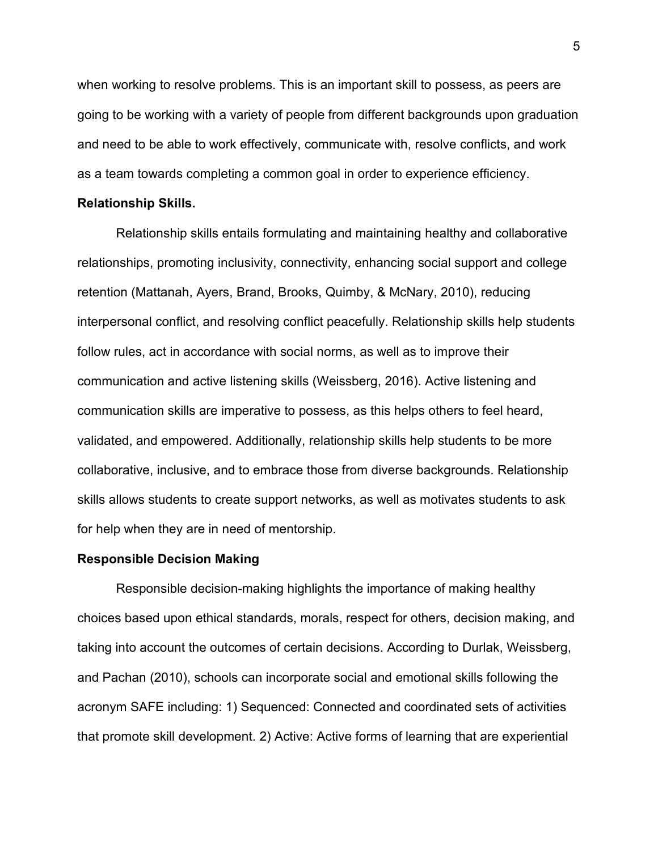when working to resolve problems. This is an important skill to possess, as peers are going to be working with a variety of people from different backgrounds upon graduation and need to be able to work effectively, communicate with, resolve conflicts, and work as a team towards completing a common goal in order to experience efficiency.

#### **Relationship Skills.**

Relationship skills entails formulating and maintaining healthy and collaborative relationships, promoting inclusivity, connectivity, enhancing social support and college retention (Mattanah, Ayers, Brand, Brooks, Quimby, & McNary, 2010), reducing interpersonal conflict, and resolving conflict peacefully. Relationship skills help students follow rules, act in accordance with social norms, as well as to improve their communication and active listening skills (Weissberg, 2016). Active listening and communication skills are imperative to possess, as this helps others to feel heard, validated, and empowered. Additionally, relationship skills help students to be more collaborative, inclusive, and to embrace those from diverse backgrounds. Relationship skills allows students to create support networks, as well as motivates students to ask for help when they are in need of mentorship.

#### **Responsible Decision Making**

Responsible decision-making highlights the importance of making healthy choices based upon ethical standards, morals, respect for others, decision making, and taking into account the outcomes of certain decisions. According to Durlak, Weissberg, and Pachan (2010), schools can incorporate social and emotional skills following the acronym SAFE including: 1) Sequenced: Connected and coordinated sets of activities that promote skill development. 2) Active: Active forms of learning that are experiential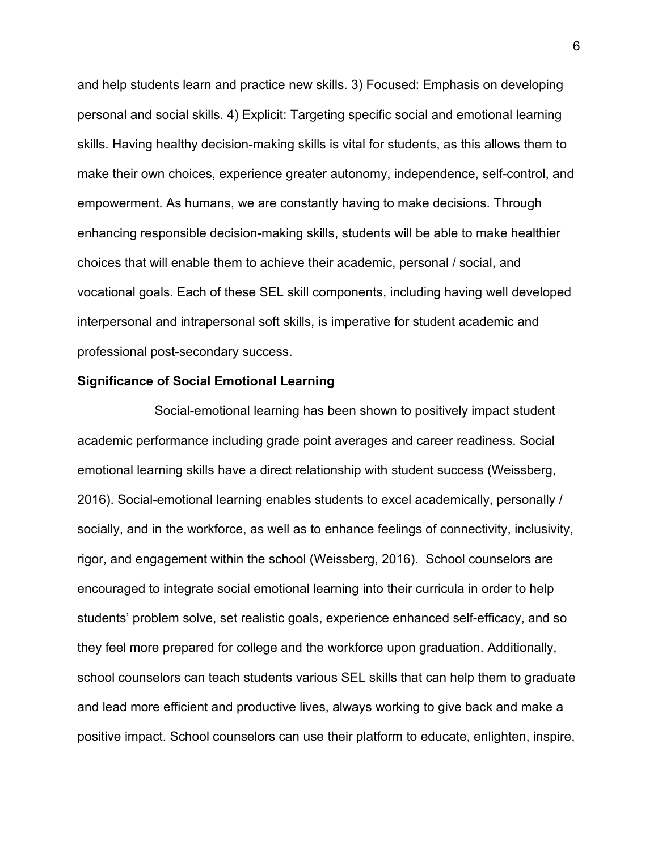and help students learn and practice new skills. 3) Focused: Emphasis on developing personal and social skills. 4) Explicit: Targeting specific social and emotional learning skills. Having healthy decision-making skills is vital for students, as this allows them to make their own choices, experience greater autonomy, independence, self-control, and empowerment. As humans, we are constantly having to make decisions. Through enhancing responsible decision-making skills, students will be able to make healthier choices that will enable them to achieve their academic, personal / social, and vocational goals. Each of these SEL skill components, including having well developed interpersonal and intrapersonal soft skills, is imperative for student academic and professional post-secondary success.

#### **Significance of Social Emotional Learning**

Social-emotional learning has been shown to positively impact student academic performance including grade point averages and career readiness. Social emotional learning skills have a direct relationship with student success (Weissberg, 2016). Social-emotional learning enables students to excel academically, personally / socially, and in the workforce, as well as to enhance feelings of connectivity, inclusivity, rigor, and engagement within the school (Weissberg, 2016). School counselors are encouraged to integrate social emotional learning into their curricula in order to help students' problem solve, set realistic goals, experience enhanced self-efficacy, and so they feel more prepared for college and the workforce upon graduation. Additionally, school counselors can teach students various SEL skills that can help them to graduate and lead more efficient and productive lives, always working to give back and make a positive impact. School counselors can use their platform to educate, enlighten, inspire,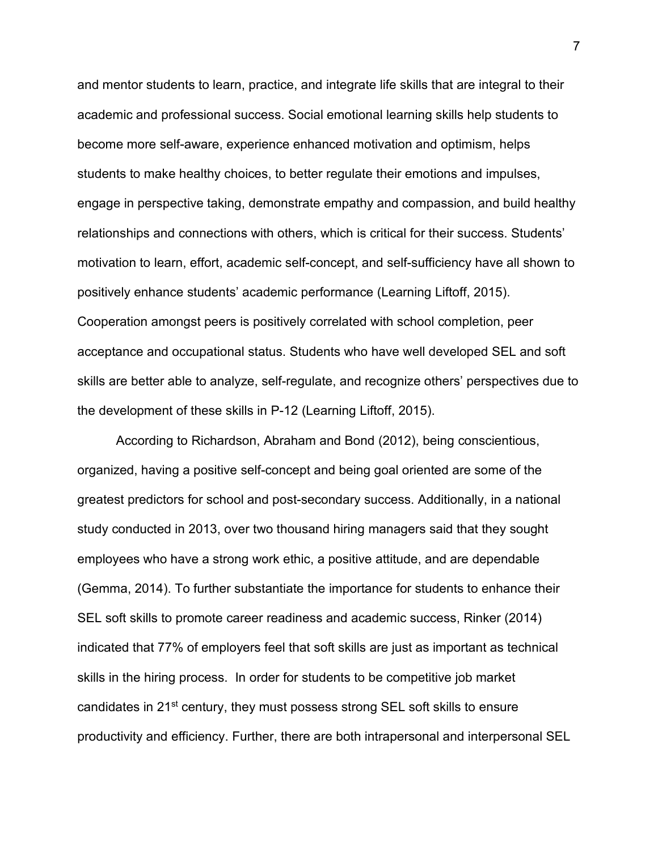and mentor students to learn, practice, and integrate life skills that are integral to their academic and professional success. Social emotional learning skills help students to become more self-aware, experience enhanced motivation and optimism, helps students to make healthy choices, to better regulate their emotions and impulses, engage in perspective taking, demonstrate empathy and compassion, and build healthy relationships and connections with others, which is critical for their success. Students' motivation to learn, effort, academic self-concept, and self-sufficiency have all shown to positively enhance students' academic performance (Learning Liftoff, 2015). Cooperation amongst peers is positively correlated with school completion, peer acceptance and occupational status. Students who have well developed SEL and soft skills are better able to analyze, self-regulate, and recognize others' perspectives due to the development of these skills in P-12 (Learning Liftoff, 2015).

According to Richardson, Abraham and Bond (2012), being conscientious, organized, having a positive self-concept and being goal oriented are some of the greatest predictors for school and post-secondary success. Additionally, in a national study conducted in 2013, over two thousand hiring managers said that they sought employees who have a strong work ethic, a positive attitude, and are dependable (Gemma, 2014). To further substantiate the importance for students to enhance their SEL soft skills to promote career readiness and academic success, Rinker (2014) indicated that 77% of employers feel that soft skills are just as important as technical skills in the hiring process. In order for students to be competitive job market candidates in 21st century, they must possess strong SEL soft skills to ensure productivity and efficiency. Further, there are both intrapersonal and interpersonal SEL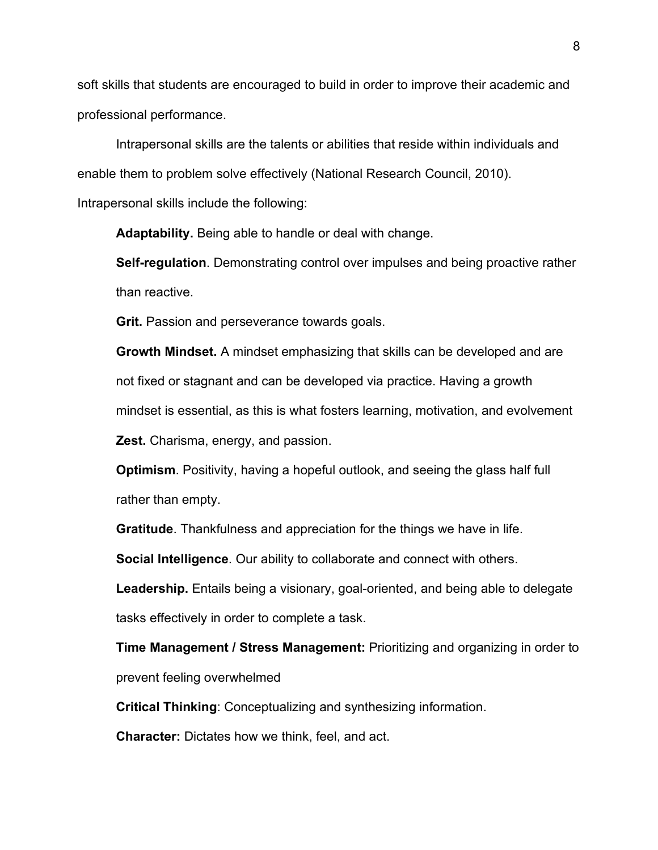soft skills that students are encouraged to build in order to improve their academic and professional performance.

Intrapersonal skills are the talents or abilities that reside within individuals and enable them to problem solve effectively (National Research Council, 2010). Intrapersonal skills include the following:

**Adaptability.** Being able to handle or deal with change.

**Self-regulation**. Demonstrating control over impulses and being proactive rather than reactive.

**Grit.** Passion and perseverance towards goals.

**Growth Mindset.** A mindset emphasizing that skills can be developed and are not fixed or stagnant and can be developed via practice. Having a growth mindset is essential, as this is what fosters learning, motivation, and evolvement **Zest.** Charisma, energy, and passion.

**Optimism**. Positivity, having a hopeful outlook, and seeing the glass half full rather than empty.

**Gratitude**. Thankfulness and appreciation for the things we have in life.

**Social Intelligence**. Our ability to collaborate and connect with others.

**Leadership.** Entails being a visionary, goal-oriented, and being able to delegate tasks effectively in order to complete a task.

**Time Management / Stress Management:** Prioritizing and organizing in order to prevent feeling overwhelmed

**Critical Thinking**: Conceptualizing and synthesizing information.

**Character:** Dictates how we think, feel, and act.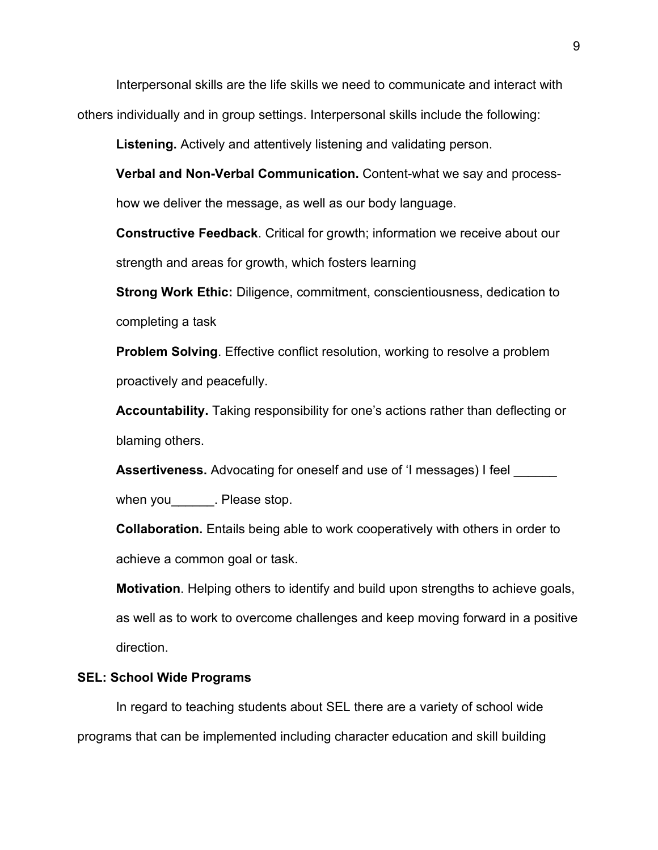Interpersonal skills are the life skills we need to communicate and interact with others individually and in group settings. Interpersonal skills include the following:

**Listening.** Actively and attentively listening and validating person.

**Verbal and Non-Verbal Communication.** Content-what we say and processhow we deliver the message, as well as our body language.

**Constructive Feedback**. Critical for growth; information we receive about our strength and areas for growth, which fosters learning

**Strong Work Ethic:** Diligence, commitment, conscientiousness, dedication to completing a task

**Problem Solving**. Effective conflict resolution, working to resolve a problem proactively and peacefully.

**Accountability.** Taking responsibility for one's actions rather than deflecting or blaming others.

**Assertiveness.** Advocating for oneself and use of 'I messages) I feel

when you **Please stop.** 

**Collaboration.** Entails being able to work cooperatively with others in order to achieve a common goal or task.

**Motivation**. Helping others to identify and build upon strengths to achieve goals, as well as to work to overcome challenges and keep moving forward in a positive direction.

#### **SEL: School Wide Programs**

In regard to teaching students about SEL there are a variety of school wide programs that can be implemented including character education and skill building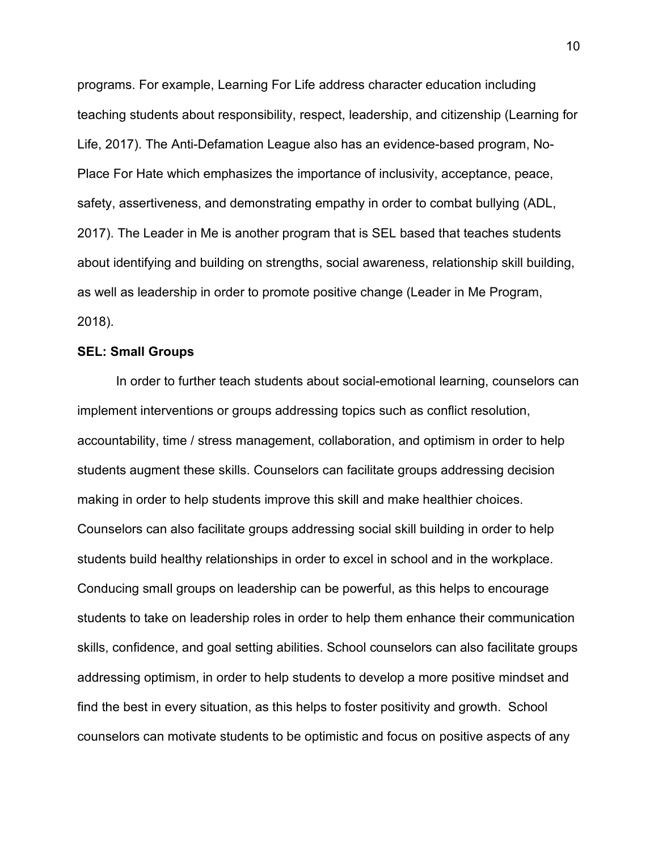programs. For example, Learning For Life address character education including teaching students about responsibility, respect, leadership, and citizenship (Learning for Life, 2017). The Anti-Defamation League also has an evidence-based program, No-Place For Hate which emphasizes the importance of inclusivity, acceptance, peace, safety, assertiveness, and demonstrating empathy in order to combat bullying (ADL, 2017). The Leader in Me is another program that is SEL based that teaches students about identifying and building on strengths, social awareness, relationship skill building, as well as leadership in order to promote positive change (Leader in Me Program, 2018).

#### **SEL: Small Groups**

In order to further teach students about social-emotional learning, counselors can implement interventions or groups addressing topics such as conflict resolution, accountability, time / stress management, collaboration, and optimism in order to help students augment these skills. Counselors can facilitate groups addressing decision making in order to help students improve this skill and make healthier choices. Counselors can also facilitate groups addressing social skill building in order to help students build healthy relationships in order to excel in school and in the workplace. Conducing small groups on leadership can be powerful, as this helps to encourage students to take on leadership roles in order to help them enhance their communication skills, confidence, and goal setting abilities. School counselors can also facilitate groups addressing optimism, in order to help students to develop a more positive mindset and find the best in every situation, as this helps to foster positivity and growth. School counselors can motivate students to be optimistic and focus on positive aspects of any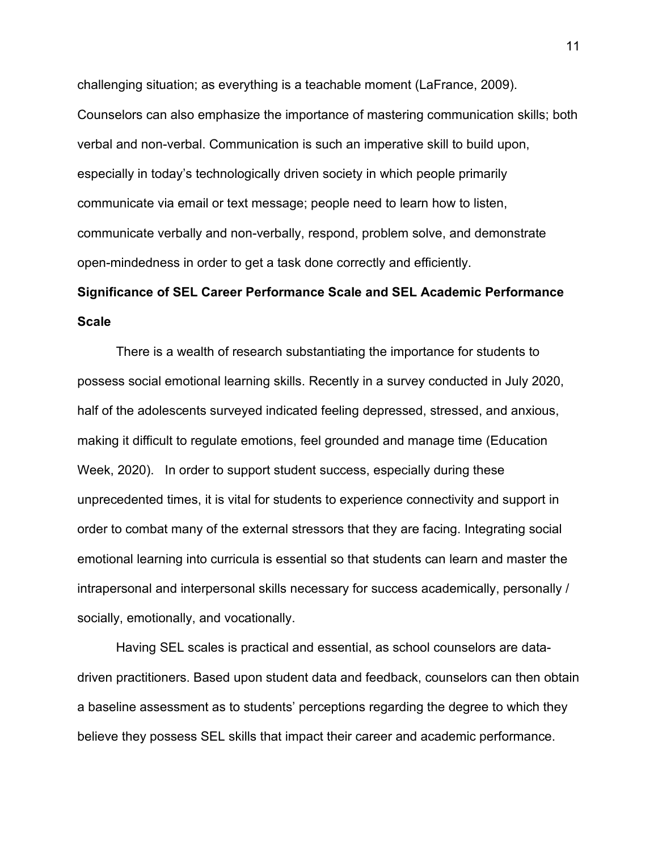challenging situation; as everything is a teachable moment (LaFrance, 2009). Counselors can also emphasize the importance of mastering communication skills; both verbal and non-verbal. Communication is such an imperative skill to build upon, especially in today's technologically driven society in which people primarily communicate via email or text message; people need to learn how to listen, communicate verbally and non-verbally, respond, problem solve, and demonstrate open-mindedness in order to get a task done correctly and efficiently.

# **Significance of SEL Career Performance Scale and SEL Academic Performance Scale**

There is a wealth of research substantiating the importance for students to possess social emotional learning skills. Recently in a survey conducted in July 2020, half of the adolescents surveyed indicated feeling depressed, stressed, and anxious, making it difficult to regulate emotions, feel grounded and manage time (Education Week, 2020). In order to support student success, especially during these unprecedented times, it is vital for students to experience connectivity and support in order to combat many of the external stressors that they are facing. Integrating social emotional learning into curricula is essential so that students can learn and master the intrapersonal and interpersonal skills necessary for success academically, personally / socially, emotionally, and vocationally.

Having SEL scales is practical and essential, as school counselors are datadriven practitioners. Based upon student data and feedback, counselors can then obtain a baseline assessment as to students' perceptions regarding the degree to which they believe they possess SEL skills that impact their career and academic performance.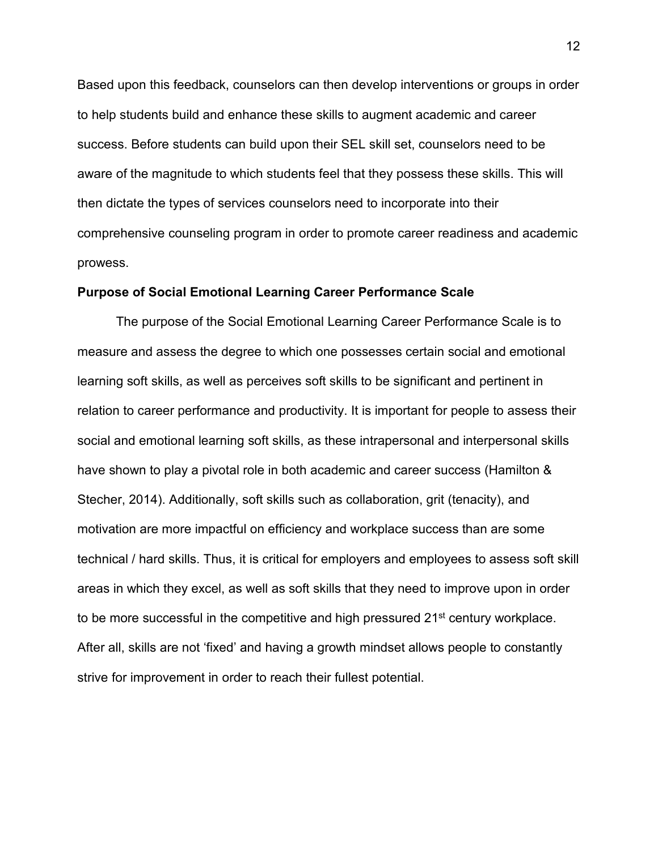Based upon this feedback, counselors can then develop interventions or groups in order to help students build and enhance these skills to augment academic and career success. Before students can build upon their SEL skill set, counselors need to be aware of the magnitude to which students feel that they possess these skills. This will then dictate the types of services counselors need to incorporate into their comprehensive counseling program in order to promote career readiness and academic prowess.

#### **Purpose of Social Emotional Learning Career Performance Scale**

The purpose of the Social Emotional Learning Career Performance Scale is to measure and assess the degree to which one possesses certain social and emotional learning soft skills, as well as perceives soft skills to be significant and pertinent in relation to career performance and productivity. It is important for people to assess their social and emotional learning soft skills, as these intrapersonal and interpersonal skills have shown to play a pivotal role in both academic and career success (Hamilton & Stecher, 2014). Additionally, soft skills such as collaboration, grit (tenacity), and motivation are more impactful on efficiency and workplace success than are some technical / hard skills. Thus, it is critical for employers and employees to assess soft skill areas in which they excel, as well as soft skills that they need to improve upon in order to be more successful in the competitive and high pressured  $21<sup>st</sup>$  century workplace. After all, skills are not 'fixed' and having a growth mindset allows people to constantly strive for improvement in order to reach their fullest potential.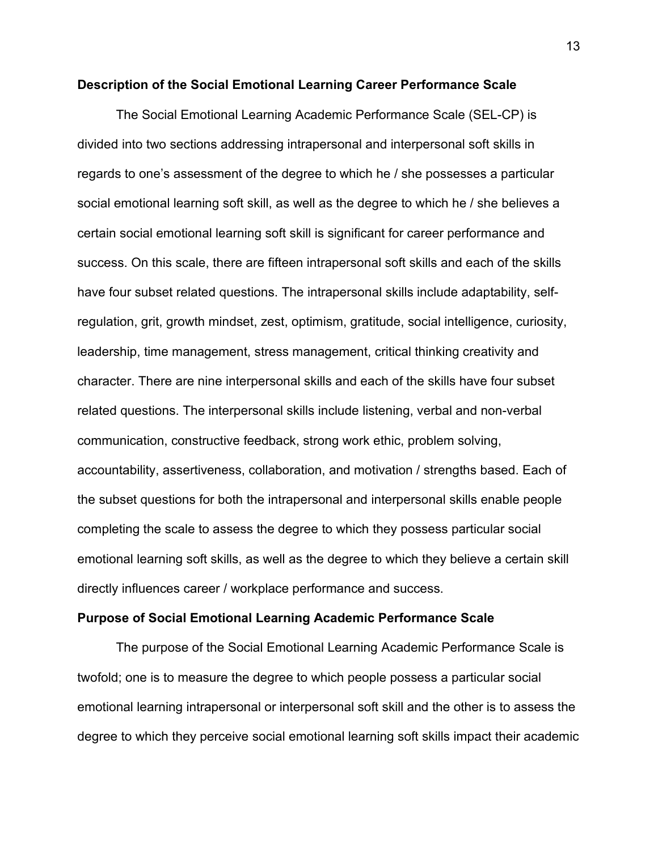#### **Description of the Social Emotional Learning Career Performance Scale**

The Social Emotional Learning Academic Performance Scale (SEL-CP) is divided into two sections addressing intrapersonal and interpersonal soft skills in regards to one's assessment of the degree to which he / she possesses a particular social emotional learning soft skill, as well as the degree to which he / she believes a certain social emotional learning soft skill is significant for career performance and success. On this scale, there are fifteen intrapersonal soft skills and each of the skills have four subset related questions. The intrapersonal skills include adaptability, selfregulation, grit, growth mindset, zest, optimism, gratitude, social intelligence, curiosity, leadership, time management, stress management, critical thinking creativity and character. There are nine interpersonal skills and each of the skills have four subset related questions. The interpersonal skills include listening, verbal and non-verbal communication, constructive feedback, strong work ethic, problem solving, accountability, assertiveness, collaboration, and motivation / strengths based. Each of the subset questions for both the intrapersonal and interpersonal skills enable people completing the scale to assess the degree to which they possess particular social emotional learning soft skills, as well as the degree to which they believe a certain skill directly influences career / workplace performance and success.

#### **Purpose of Social Emotional Learning Academic Performance Scale**

The purpose of the Social Emotional Learning Academic Performance Scale is twofold; one is to measure the degree to which people possess a particular social emotional learning intrapersonal or interpersonal soft skill and the other is to assess the degree to which they perceive social emotional learning soft skills impact their academic

13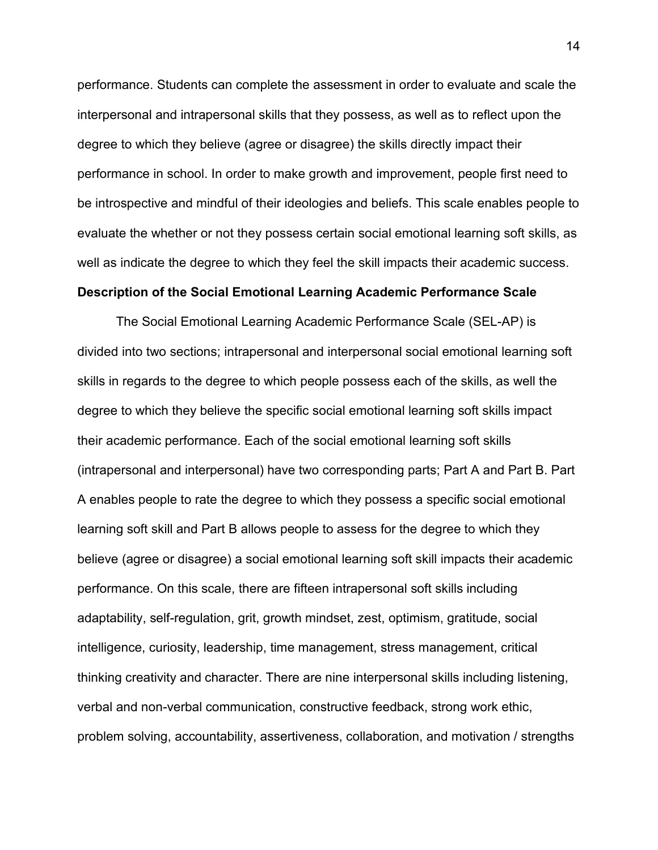performance. Students can complete the assessment in order to evaluate and scale the interpersonal and intrapersonal skills that they possess, as well as to reflect upon the degree to which they believe (agree or disagree) the skills directly impact their performance in school. In order to make growth and improvement, people first need to be introspective and mindful of their ideologies and beliefs. This scale enables people to evaluate the whether or not they possess certain social emotional learning soft skills, as well as indicate the degree to which they feel the skill impacts their academic success.

#### **Description of the Social Emotional Learning Academic Performance Scale**

The Social Emotional Learning Academic Performance Scale (SEL-AP) is divided into two sections; intrapersonal and interpersonal social emotional learning soft skills in regards to the degree to which people possess each of the skills, as well the degree to which they believe the specific social emotional learning soft skills impact their academic performance. Each of the social emotional learning soft skills (intrapersonal and interpersonal) have two corresponding parts; Part A and Part B. Part A enables people to rate the degree to which they possess a specific social emotional learning soft skill and Part B allows people to assess for the degree to which they believe (agree or disagree) a social emotional learning soft skill impacts their academic performance. On this scale, there are fifteen intrapersonal soft skills including adaptability, self-regulation, grit, growth mindset, zest, optimism, gratitude, social intelligence, curiosity, leadership, time management, stress management, critical thinking creativity and character. There are nine interpersonal skills including listening, verbal and non-verbal communication, constructive feedback, strong work ethic, problem solving, accountability, assertiveness, collaboration, and motivation / strengths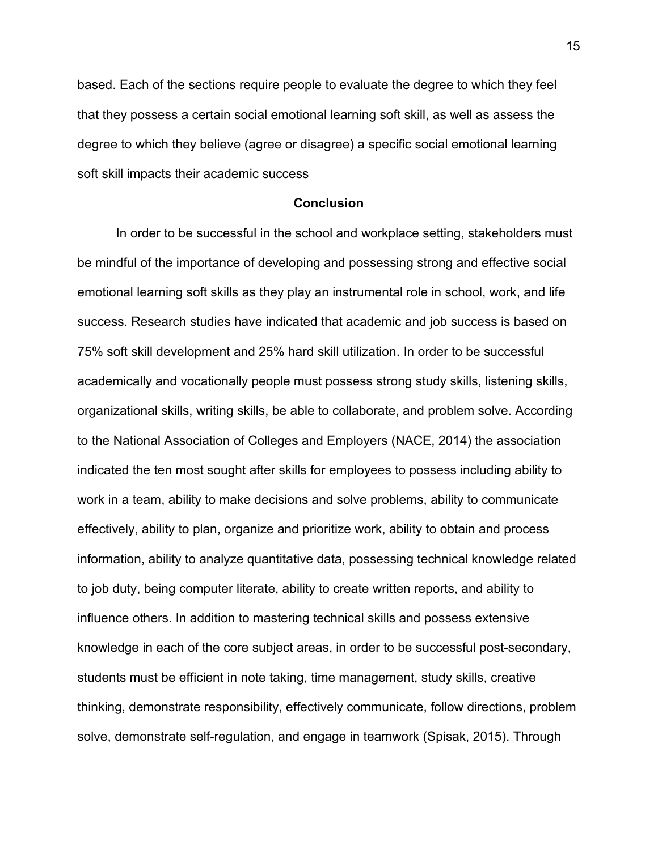based. Each of the sections require people to evaluate the degree to which they feel that they possess a certain social emotional learning soft skill, as well as assess the degree to which they believe (agree or disagree) a specific social emotional learning soft skill impacts their academic success

#### **Conclusion**

In order to be successful in the school and workplace setting, stakeholders must be mindful of the importance of developing and possessing strong and effective social emotional learning soft skills as they play an instrumental role in school, work, and life success. Research studies have indicated that academic and job success is based on 75% soft skill development and 25% hard skill utilization. In order to be successful academically and vocationally people must possess strong study skills, listening skills, organizational skills, writing skills, be able to collaborate, and problem solve. According to the National Association of Colleges and Employers (NACE, 2014) the association indicated the ten most sought after skills for employees to possess including ability to work in a team, ability to make decisions and solve problems, ability to communicate effectively, ability to plan, organize and prioritize work, ability to obtain and process information, ability to analyze quantitative data, possessing technical knowledge related to job duty, being computer literate, ability to create written reports, and ability to influence others. In addition to mastering technical skills and possess extensive knowledge in each of the core subject areas, in order to be successful post-secondary, students must be efficient in note taking, time management, study skills, creative thinking, demonstrate responsibility, effectively communicate, follow directions, problem solve, demonstrate self-regulation, and engage in teamwork (Spisak, 2015). Through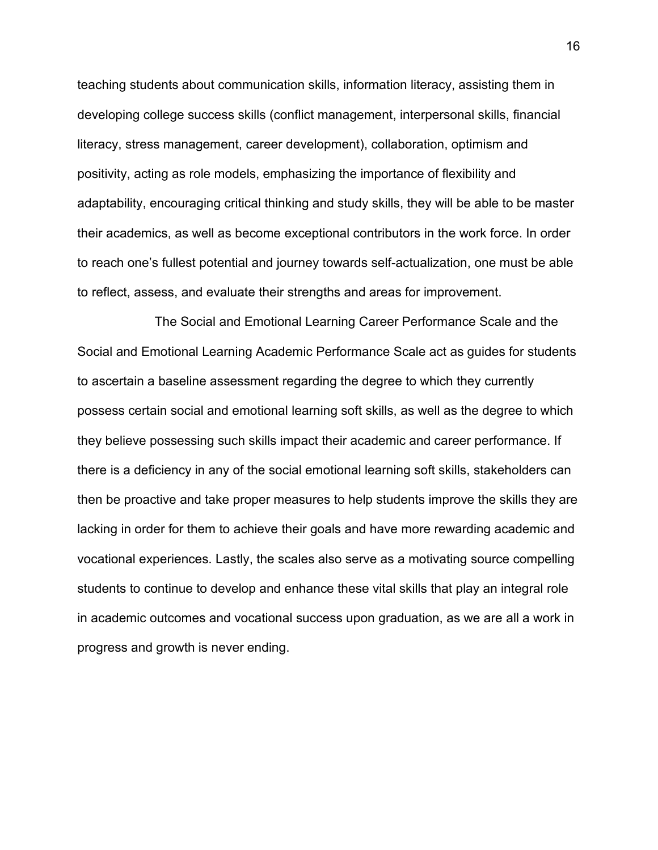teaching students about communication skills, information literacy, assisting them in developing college success skills (conflict management, interpersonal skills, financial literacy, stress management, career development), collaboration, optimism and positivity, acting as role models, emphasizing the importance of flexibility and adaptability, encouraging critical thinking and study skills, they will be able to be master their academics, as well as become exceptional contributors in the work force. In order to reach one's fullest potential and journey towards self-actualization, one must be able to reflect, assess, and evaluate their strengths and areas for improvement.

The Social and Emotional Learning Career Performance Scale and the Social and Emotional Learning Academic Performance Scale act as guides for students to ascertain a baseline assessment regarding the degree to which they currently possess certain social and emotional learning soft skills, as well as the degree to which they believe possessing such skills impact their academic and career performance. If there is a deficiency in any of the social emotional learning soft skills, stakeholders can then be proactive and take proper measures to help students improve the skills they are lacking in order for them to achieve their goals and have more rewarding academic and vocational experiences. Lastly, the scales also serve as a motivating source compelling students to continue to develop and enhance these vital skills that play an integral role in academic outcomes and vocational success upon graduation, as we are all a work in progress and growth is never ending.

16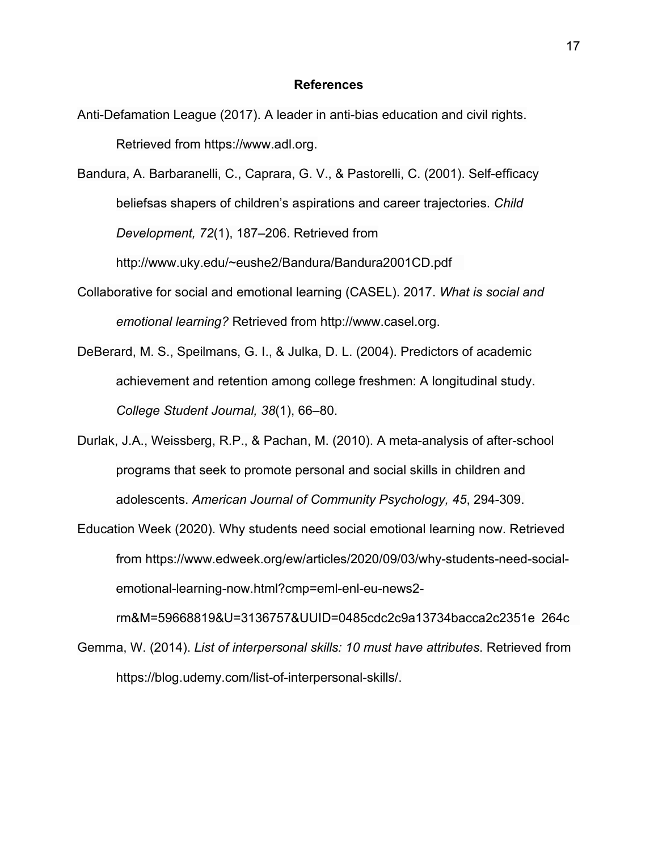#### **References**

- Anti-Defamation League (2017). A leader in anti-bias education and civil rights. Retrieved from https://www.adl.org.
- Bandura, A. Barbaranelli, C., Caprara, G. V., & Pastorelli, C. (2001). Self-efficacy beliefsas shapers of children's aspirations and career trajectories. *Child Development, 72*(1), 187–206. Retrieved from http://www.uky.edu/~eushe2/Bandura/Bandura2001CD.pdf
- Collaborative for social and emotional learning (CASEL). 2017. *What is social and emotional learning?* Retrieved from http://www.casel.org.
- DeBerard, M. S., Speilmans, G. I., & Julka, D. L. (2004). Predictors of academic achievement and retention among college freshmen: A longitudinal study. *College Student Journal, 38*(1), 66–80.
- Durlak, J.A., Weissberg, R.P., & Pachan, M. (2010). A meta-analysis of after-school programs that seek to promote personal and social skills in children and adolescents. *American Journal of Community Psychology, 45*, 294-309.
- Education Week (2020). Why students need social emotional learning now. Retrieved from https://www.edweek.org/ew/articles/2020/09/03/why-students-need-socialemotional-learning-now.html?cmp=eml-enl-eu-news2-

rm&M=59668819&U=3136757&UUID=0485cdc2c9a13734bacca2c2351e 264c Gemma, W. (2014). *List of interpersonal skills: 10 must have attributes*. Retrieved from https://blog.udemy.com/list-of-interpersonal-skills/.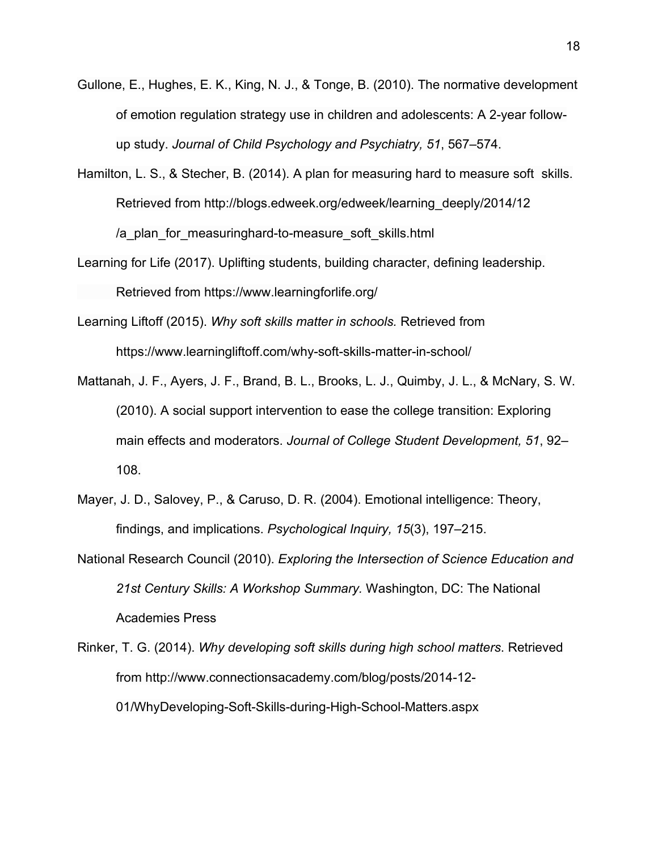- Gullone, E., Hughes, E. K., King, N. J., & Tonge, B. (2010). The normative development of emotion regulation strategy use in children and adolescents: A 2-year followup study. *Journal of Child Psychology and Psychiatry, 51*, 567–574.
- Hamilton, L. S., & Stecher, B. (2014). A plan for measuring hard to measure soft skills. Retrieved from http://blogs.edweek.org/edweek/learning\_deeply/2014/12 /a\_plan\_for\_measuringhard-to-measure\_soft\_skills.html
- Learning for Life (2017). Uplifting students, building character, defining leadership. Retrieved from https://www.learningforlife.org/
- Learning Liftoff (2015). *Why soft skills matter in schools.* Retrieved from https://www.learningliftoff.com/why-soft-skills-matter-in-school/
- Mattanah, J. F., Ayers, J. F., Brand, B. L., Brooks, L. J., Quimby, J. L., & McNary, S. W. (2010). A social support intervention to ease the college transition: Exploring main effects and moderators. *Journal of College Student Development, 51*, 92– 108.
- Mayer, J. D., Salovey, P., & Caruso, D. R. (2004). Emotional intelligence: Theory, findings, and implications. *Psychological Inquiry, 15*(3), 197–215.
- National Research Council (2010). *Exploring the Intersection of Science Education and 21st Century Skills: A Workshop Summary.* Washington, DC: The National Academies Press
- Rinker, T. G. (2014). *Why developing soft skills during high school matters*. Retrieved from http://www.connectionsacademy.com/blog/posts/2014-12- 01/WhyDeveloping-Soft-Skills-during-High-School-Matters.aspx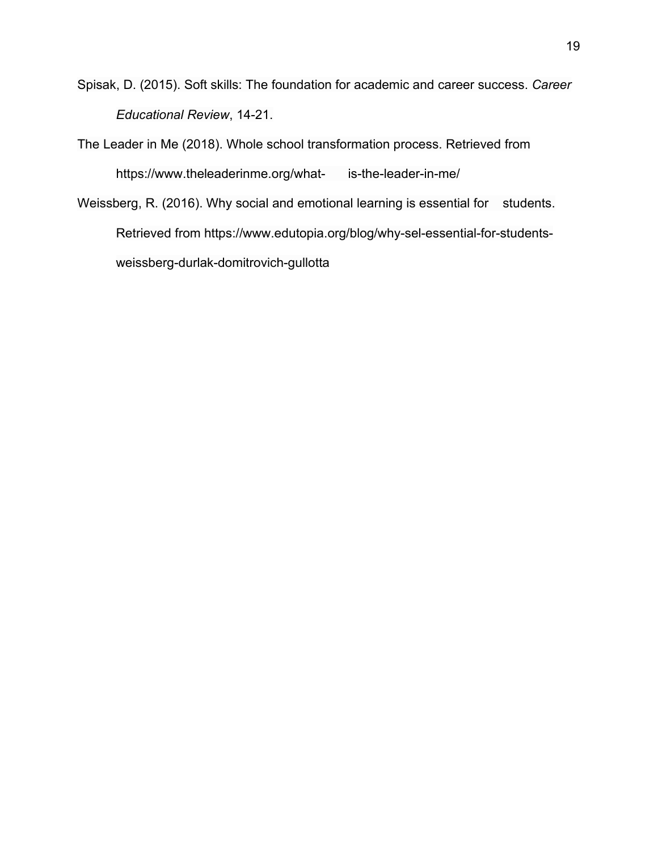Spisak, D. (2015). Soft skills: The foundation for academic and career success. *Career Educational Review*, 14-21.

The Leader in Me (2018). Whole school transformation process. Retrieved from https://www.theleaderinme.org/what- is-the-leader-in-me/

Weissberg, R. (2016). Why social and emotional learning is essential for students. Retrieved from https://www.edutopia.org/blog/why-sel-essential-for-studentsweissberg-durlak-domitrovich-gullotta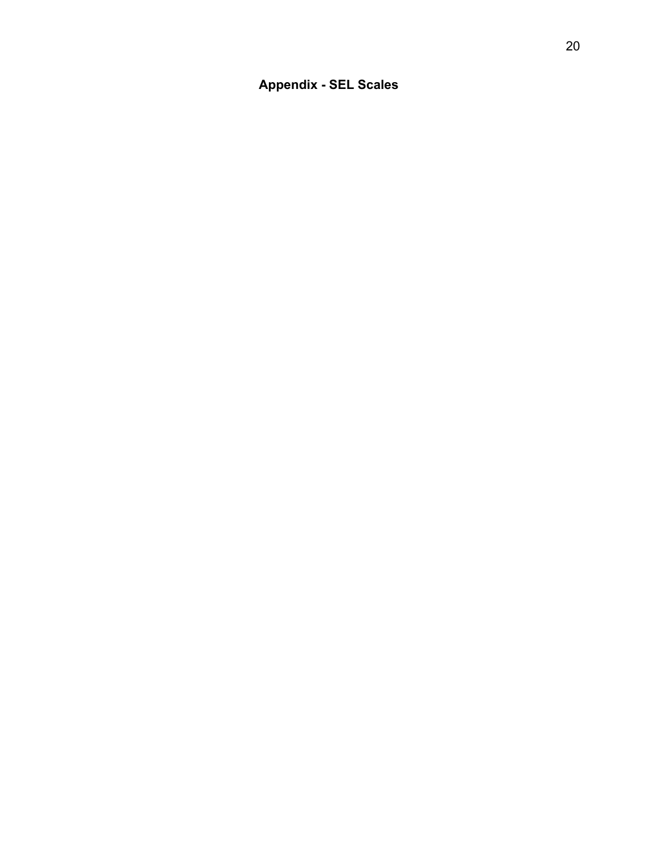**Appendix - SEL Scales**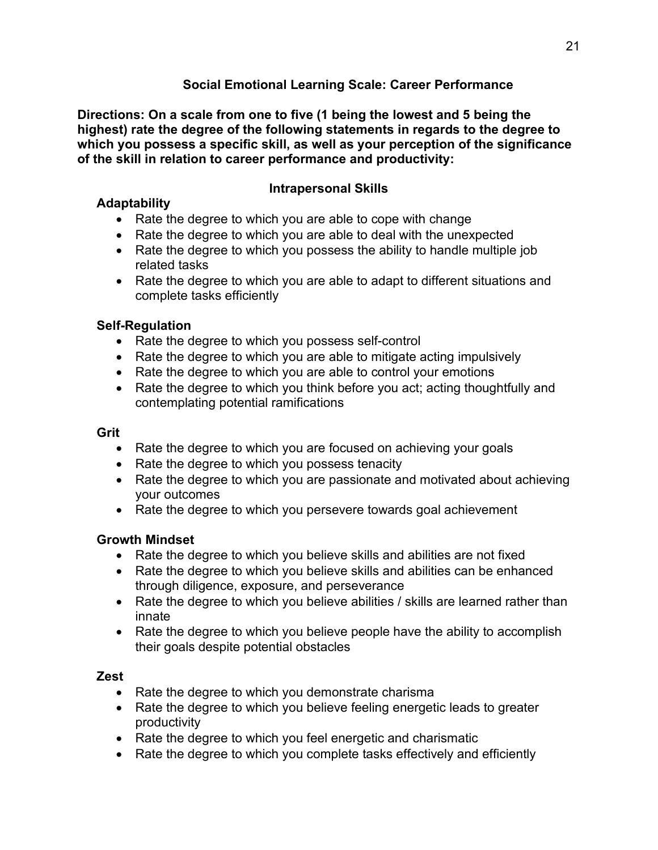### **Social Emotional Learning Scale: Career Performance**

**Directions: On a scale from one to five (1 being the lowest and 5 being the highest) rate the degree of the following statements in regards to the degree to which you possess a specific skill, as well as your perception of the significance of the skill in relation to career performance and productivity:**

### **Adaptability**

### **Intrapersonal Skills**

- Rate the degree to which you are able to cope with change
- Rate the degree to which you are able to deal with the unexpected
- Rate the degree to which you possess the ability to handle multiple job related tasks
- Rate the degree to which you are able to adapt to different situations and complete tasks efficiently

### **Self-Regulation**

- Rate the degree to which you possess self-control
- Rate the degree to which you are able to mitigate acting impulsively
- Rate the degree to which you are able to control your emotions
- Rate the degree to which you think before you act; acting thoughtfully and contemplating potential ramifications

#### **Grit**

- Rate the degree to which you are focused on achieving your goals
- Rate the degree to which you possess tenacity
- Rate the degree to which you are passionate and motivated about achieving your outcomes
- Rate the degree to which you persevere towards goal achievement

### **Growth Mindset**

- Rate the degree to which you believe skills and abilities are not fixed
- Rate the degree to which you believe skills and abilities can be enhanced through diligence, exposure, and perseverance
- Rate the degree to which you believe abilities / skills are learned rather than innate
- Rate the degree to which you believe people have the ability to accomplish their goals despite potential obstacles

### **Zest**

- Rate the degree to which you demonstrate charisma
- Rate the degree to which you believe feeling energetic leads to greater productivity
- Rate the degree to which you feel energetic and charismatic
- Rate the degree to which you complete tasks effectively and efficiently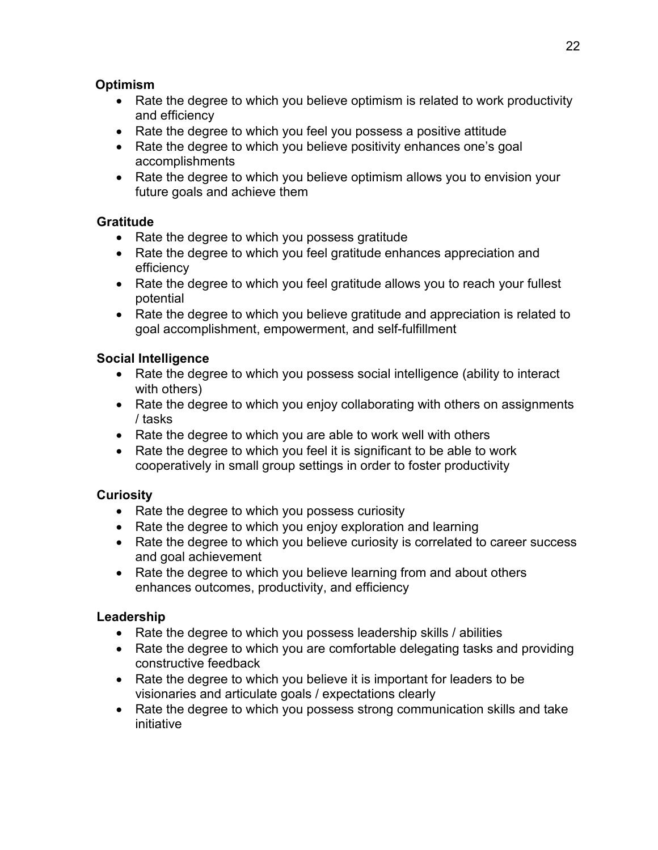#### **Optimism**

- Rate the degree to which you believe optimism is related to work productivity and efficiency
- Rate the degree to which you feel you possess a positive attitude
- Rate the degree to which you believe positivity enhances one's goal accomplishments
- Rate the degree to which you believe optimism allows you to envision your future goals and achieve them

### **Gratitude**

- Rate the degree to which you possess gratitude
- Rate the degree to which you feel gratitude enhances appreciation and efficiency
- Rate the degree to which you feel gratitude allows you to reach your fullest potential
- Rate the degree to which you believe gratitude and appreciation is related to goal accomplishment, empowerment, and self-fulfillment

# **Social Intelligence**

- Rate the degree to which you possess social intelligence (ability to interact with others)
- Rate the degree to which you enjoy collaborating with others on assignments / tasks
- Rate the degree to which you are able to work well with others
- Rate the degree to which you feel it is significant to be able to work cooperatively in small group settings in order to foster productivity

# **Curiosity**

- Rate the degree to which you possess curiosity
- Rate the degree to which you enjoy exploration and learning
- Rate the degree to which you believe curiosity is correlated to career success and goal achievement
- Rate the degree to which you believe learning from and about others enhances outcomes, productivity, and efficiency

### **Leadership**

- Rate the degree to which you possess leadership skills / abilities
- Rate the degree to which you are comfortable delegating tasks and providing constructive feedback
- Rate the degree to which you believe it is important for leaders to be visionaries and articulate goals / expectations clearly
- Rate the degree to which you possess strong communication skills and take initiative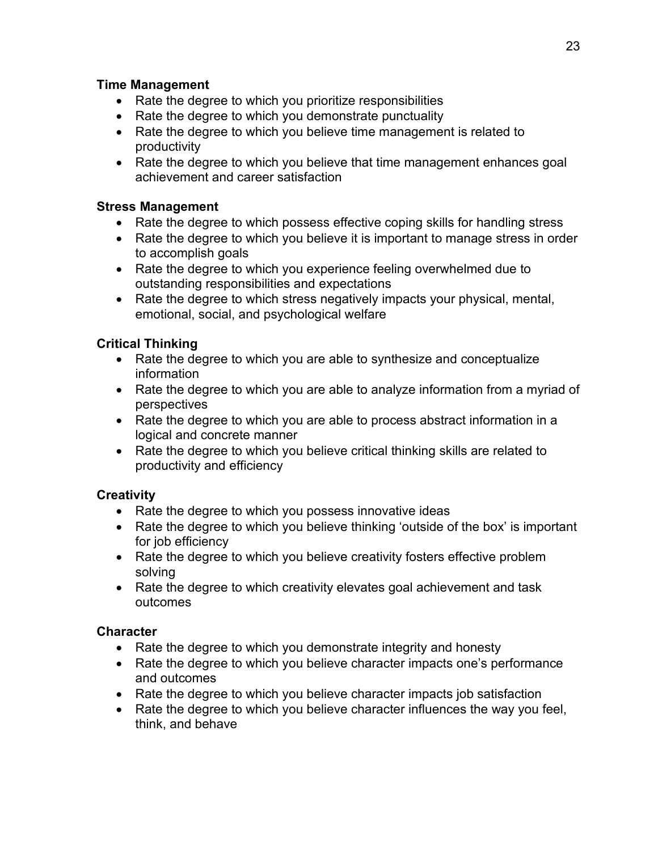#### **Time Management**

- Rate the degree to which you prioritize responsibilities
- Rate the degree to which you demonstrate punctuality
- Rate the degree to which you believe time management is related to productivity
- Rate the degree to which you believe that time management enhances goal achievement and career satisfaction

### **Stress Management**

- Rate the degree to which possess effective coping skills for handling stress
- Rate the degree to which you believe it is important to manage stress in order to accomplish goals
- Rate the degree to which you experience feeling overwhelmed due to outstanding responsibilities and expectations
- Rate the degree to which stress negatively impacts your physical, mental, emotional, social, and psychological welfare

### **Critical Thinking**

- Rate the degree to which you are able to synthesize and conceptualize information
- Rate the degree to which you are able to analyze information from a myriad of perspectives
- Rate the degree to which you are able to process abstract information in a logical and concrete manner
- Rate the degree to which you believe critical thinking skills are related to productivity and efficiency

### **Creativity**

- Rate the degree to which you possess innovative ideas
- Rate the degree to which you believe thinking 'outside of the box' is important for job efficiency
- Rate the degree to which you believe creativity fosters effective problem solving
- Rate the degree to which creativity elevates goal achievement and task outcomes

### **Character**

- Rate the degree to which you demonstrate integrity and honesty
- Rate the degree to which you believe character impacts one's performance and outcomes
- Rate the degree to which you believe character impacts job satisfaction
- Rate the degree to which you believe character influences the way you feel, think, and behave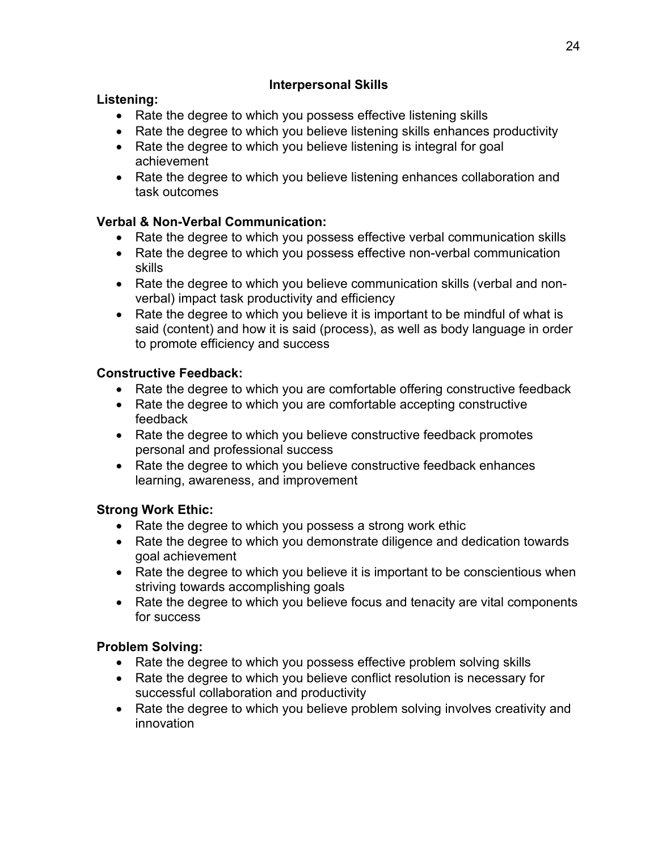### **Interpersonal Skills**

### **Listening:**

- Rate the degree to which you possess effective listening skills
- Rate the degree to which you believe listening skills enhances productivity
- Rate the degree to which you believe listening is integral for goal achievement
- Rate the degree to which you believe listening enhances collaboration and task outcomes

# **Verbal & Non-Verbal Communication:**

- Rate the degree to which you possess effective verbal communication skills
- Rate the degree to which you possess effective non-verbal communication skills
- Rate the degree to which you believe communication skills (verbal and nonverbal) impact task productivity and efficiency
- Rate the degree to which you believe it is important to be mindful of what is said (content) and how it is said (process), as well as body language in order to promote efficiency and success

# **Constructive Feedback:**

- Rate the degree to which you are comfortable offering constructive feedback
- Rate the degree to which you are comfortable accepting constructive feedback
- Rate the degree to which you believe constructive feedback promotes personal and professional success
- Rate the degree to which you believe constructive feedback enhances learning, awareness, and improvement

# **Strong Work Ethic:**

- Rate the degree to which you possess a strong work ethic
- Rate the degree to which you demonstrate diligence and dedication towards goal achievement
- Rate the degree to which you believe it is important to be conscientious when striving towards accomplishing goals
- Rate the degree to which you believe focus and tenacity are vital components for success

# **Problem Solving:**

- Rate the degree to which you possess effective problem solving skills
- Rate the degree to which you believe conflict resolution is necessary for successful collaboration and productivity
- Rate the degree to which you believe problem solving involves creativity and innovation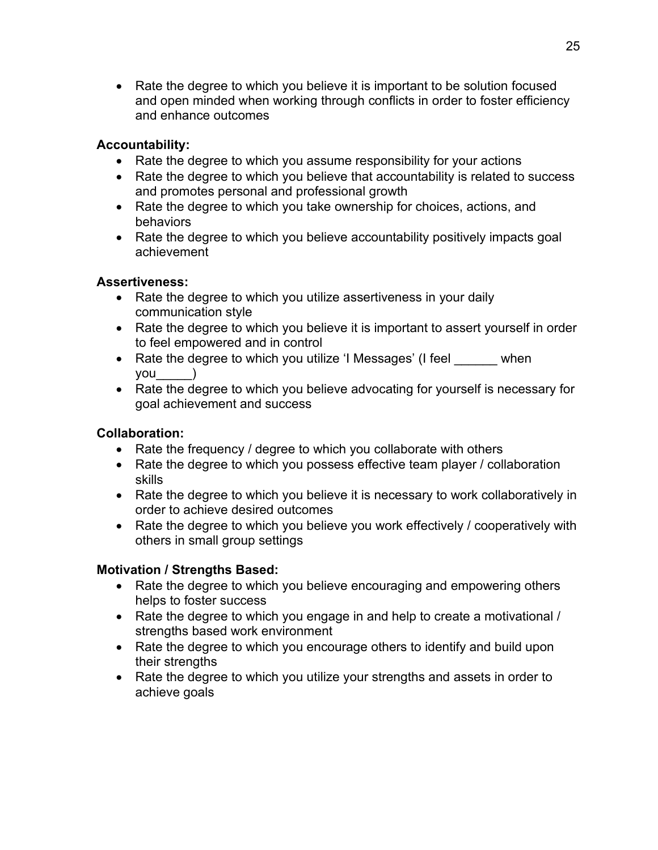• Rate the degree to which you believe it is important to be solution focused and open minded when working through conflicts in order to foster efficiency and enhance outcomes

#### **Accountability:**

- Rate the degree to which you assume responsibility for your actions
- Rate the degree to which you believe that accountability is related to success and promotes personal and professional growth
- Rate the degree to which you take ownership for choices, actions, and behaviors
- Rate the degree to which you believe accountability positively impacts goal achievement

#### **Assertiveness:**

- Rate the degree to which you utilize assertiveness in your daily communication style
- Rate the degree to which you believe it is important to assert yourself in order to feel empowered and in control
- Rate the degree to which you utilize 'I Messages' (I feel when you\_\_\_\_\_)
- Rate the degree to which you believe advocating for yourself is necessary for goal achievement and success

### **Collaboration:**

- Rate the frequency / degree to which you collaborate with others
- Rate the degree to which you possess effective team player / collaboration skills
- Rate the degree to which you believe it is necessary to work collaboratively in order to achieve desired outcomes
- Rate the degree to which you believe you work effectively / cooperatively with others in small group settings

### **Motivation / Strengths Based:**

- Rate the degree to which you believe encouraging and empowering others helps to foster success
- Rate the degree to which you engage in and help to create a motivational / strengths based work environment
- Rate the degree to which you encourage others to identify and build upon their strengths
- Rate the degree to which you utilize your strengths and assets in order to achieve goals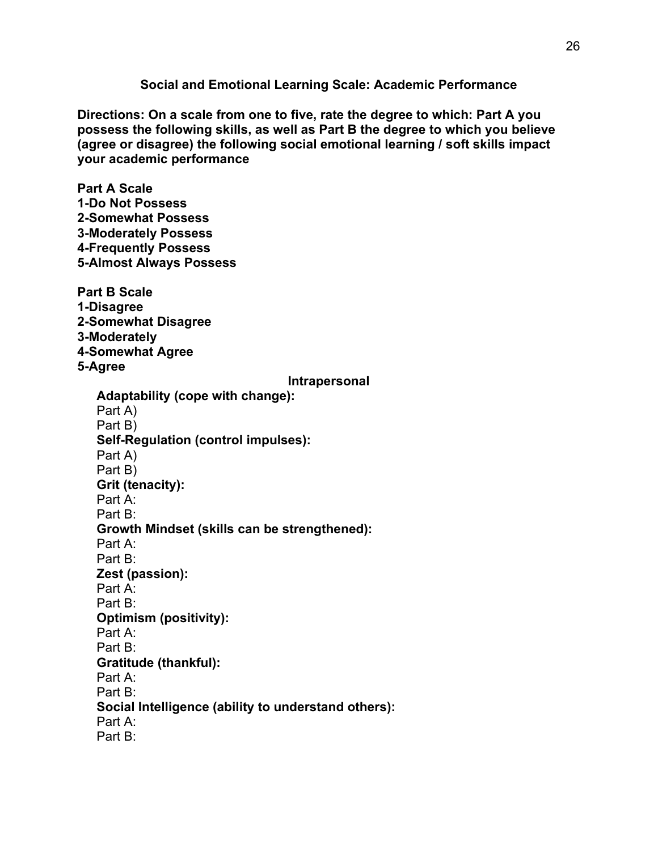**Social and Emotional Learning Scale: Academic Performance**

**Directions: On a scale from one to five, rate the degree to which: Part A you possess the following skills, as well as Part B the degree to which you believe (agree or disagree) the following social emotional learning / soft skills impact your academic performance**

**Part A Scale 1-Do Not Possess 2-Somewhat Possess 3-Moderately Possess 4-Frequently Possess 5-Almost Always Possess Part B Scale 1-Disagree 2-Somewhat Disagree 3-Moderately 4-Somewhat Agree 5-Agree Intrapersonal Adaptability (cope with change):** Part A) Part B) **Self-Regulation (control impulses):** Part A) Part B) **Grit (tenacity):** Part A: Part B: **Growth Mindset (skills can be strengthened):** Part A: Part B: **Zest (passion):** Part A: Part B: **Optimism (positivity):** Part A: Part B: **Gratitude (thankful):** Part A: Part B: **Social Intelligence (ability to understand others):** Part A: Part B: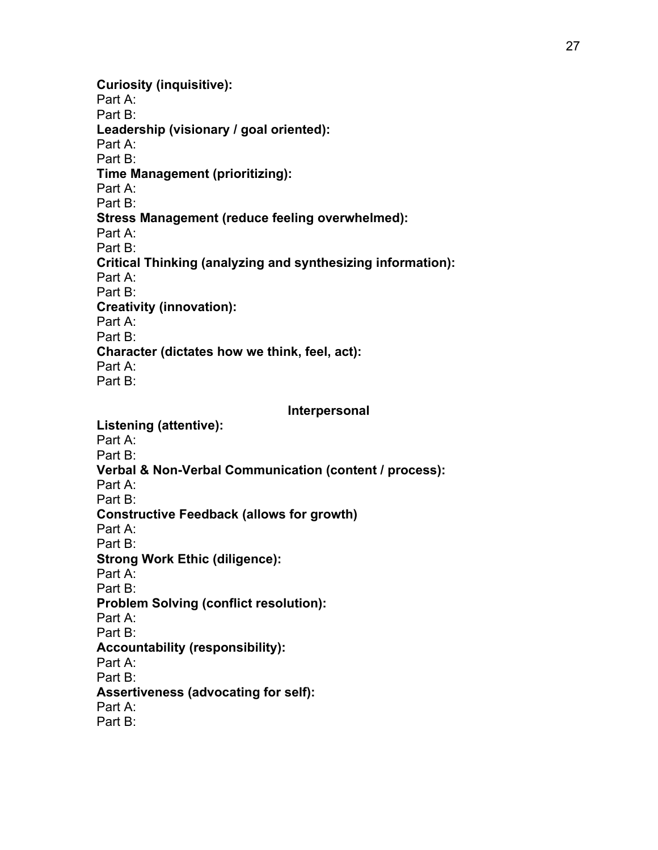**Curiosity (inquisitive):** Part A: Part B: **Leadership (visionary / goal oriented):** Part A: Part B: **Time Management (prioritizing):** Part A: Part B: **Stress Management (reduce feeling overwhelmed):** Part A: Part B: **Critical Thinking (analyzing and synthesizing information):** Part A: Part B: **Creativity (innovation):** Part A: Part B: **Character (dictates how we think, feel, act):** Part A: Part B:

**Interpersonal**

**Listening (attentive):** Part A: Part B: **Verbal & Non-Verbal Communication (content / process):** Part A: Part B: **Constructive Feedback (allows for growth)** Part A: Part B: **Strong Work Ethic (diligence):** Part A: Part B: **Problem Solving (conflict resolution):** Part A: Part B: **Accountability (responsibility):** Part A: Part B: **Assertiveness (advocating for self):** Part A: Part B: